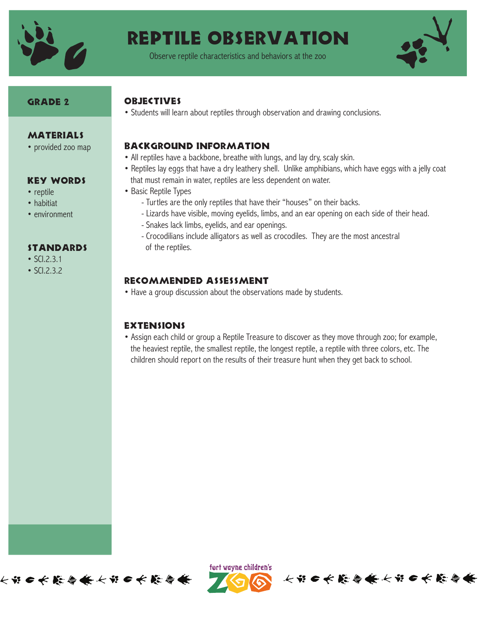

Observe reptile characteristics and behaviors at the zoo



#### GRADE 2

**MATERIALS** • provided zoo map

Key Words

standards

• SCI.2.3.1 • SCI.2.3.2

• reptile • habitiat • environment

#### **OBJECTIVES**

• Students will learn about reptiles through observation and drawing conclusions.

#### Background Information

- All reptiles have a backbone, breathe with lungs, and lay dry, scaly skin.
- Reptiles lay eggs that have a dry leathery shell. Unlike amphibians, which have eggs with a jelly coat that must remain in water, reptiles are less dependent on water.
- Basic Reptile Types
	- Turtles are the only reptiles that have their "houses" on their backs.
	- Lizards have visible, moving eyelids, limbs, and an ear opening on each side of their head.
	- Snakes lack limbs, eyelids, and ear openings.
	- Crocodilians include alligators as well as crocodiles. They are the most ancestral of the reptiles.

### Recommended Assessment

• Have a group discussion about the observations made by students.

#### **EXTENSIONS**

• Assign each child or group a Reptile Treasure to discover as they move through zoo; for example, the heaviest reptile, the smallest reptile, the longest reptile, a reptile with three colors, etc. The children should report on the results of their treasure hunt when they get back to school.





长节口长藤春长长节口长藤春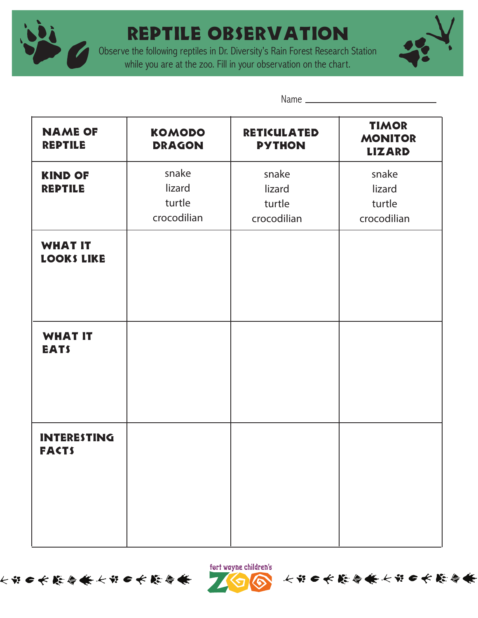

Observe the following reptiles in Dr. Diversity's Rain Forest Research Station while you are at the zoo. Fill in your observation on the chart.



Name

| <b>NAME OF</b><br><b>REPTILE</b>    | <b>KOMODO</b><br><b>DRAGON</b>           | <b>RETICULATED</b><br><b>PYTHON</b>      | <b>TIMOR</b><br><b>MONITOR</b><br><b>LIZARD</b> |
|-------------------------------------|------------------------------------------|------------------------------------------|-------------------------------------------------|
| <b>KIND OF</b><br><b>REPTILE</b>    | snake<br>lizard<br>turtle<br>crocodilian | snake<br>lizard<br>turtle<br>crocodilian | snake<br>lizard<br>turtle<br>crocodilian        |
| <b>WHAT IT</b><br><b>LOOKS LIKE</b> |                                          |                                          |                                                 |
| <b>WHAT IT</b><br><b>EATS</b>       |                                          |                                          |                                                 |
| <b>INTERESTING</b><br><b>FACTS</b>  |                                          |                                          |                                                 |





长节●长能参会长节●长能参会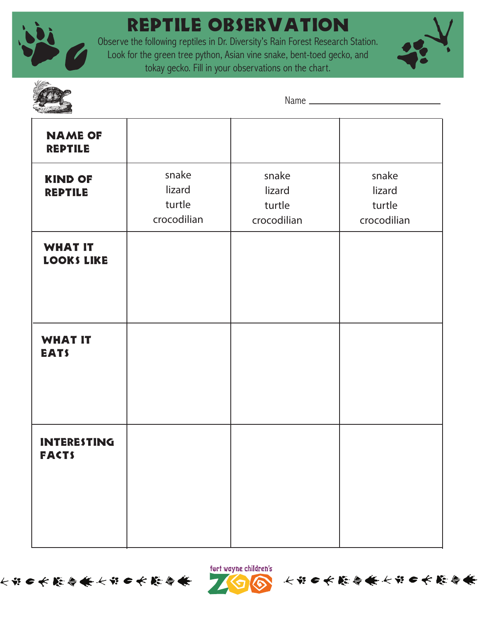

Observe the following reptiles in Dr. Diversity's Rain Forest Research Station. Look for the green tree python, Asian vine snake, bent-toed gecko, and tokay gecko. Fill in your observations on the chart.





Name

| <b>NAME OF</b><br><b>REPTILE</b>    |                                          |                                          |                                          |
|-------------------------------------|------------------------------------------|------------------------------------------|------------------------------------------|
| <b>KIND OF</b><br><b>REPTILE</b>    | snake<br>lizard<br>turtle<br>crocodilian | snake<br>lizard<br>turtle<br>crocodilian | snake<br>lizard<br>turtle<br>crocodilian |
| <b>WHAT IT</b><br><b>LOOKS LIKE</b> |                                          |                                          |                                          |
| <b>WHAT IT</b><br><b>EATS</b>       |                                          |                                          |                                          |
| <b>INTERESTING</b><br><b>FACTS</b>  |                                          |                                          |                                          |





长的●长能参会长的●长能参会